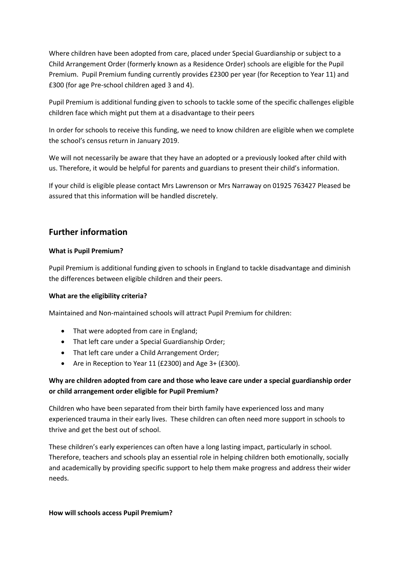Where children have been adopted from care, placed under Special Guardianship or subject to a Child Arrangement Order (formerly known as a Residence Order) schools are eligible for the Pupil Premium. Pupil Premium funding currently provides £2300 per year (for Reception to Year 11) and £300 (for age Pre-school children aged 3 and 4).

Pupil Premium is additional funding given to schools to tackle some of the specific challenges eligible children face which might put them at a disadvantage to their peers

In order for schools to receive this funding, we need to know children are eligible when we complete the school's census return in January 2019.

We will not necessarily be aware that they have an adopted or a previously looked after child with us. Therefore, it would be helpful for parents and guardians to present their child's information.

If your child is eligible please contact Mrs Lawrenson or Mrs Narraway on 01925 763427 Pleased be assured that this information will be handled discretely.

# **Further information**

### **What is Pupil Premium?**

Pupil Premium is additional funding given to schools in England to tackle disadvantage and diminish the differences between eligible children and their peers.

### **What are the eligibility criteria?**

Maintained and Non-maintained schools will attract Pupil Premium for children:

- That were adopted from care in England;
- That left care under a Special Guardianship Order;
- That left care under a Child Arrangement Order;
- Are in Reception to Year 11 (£2300) and Age 3+ (£300).

# **Why are children adopted from care and those who leave care under a special guardianship order or child arrangement order eligible for Pupil Premium?**

Children who have been separated from their birth family have experienced loss and many experienced trauma in their early lives. These children can often need more support in schools to thrive and get the best out of school.

These children's early experiences can often have a long lasting impact, particularly in school. Therefore, teachers and schools play an essential role in helping children both emotionally, socially and academically by providing specific support to help them make progress and address their wider needs.

#### **How will schools access Pupil Premium?**